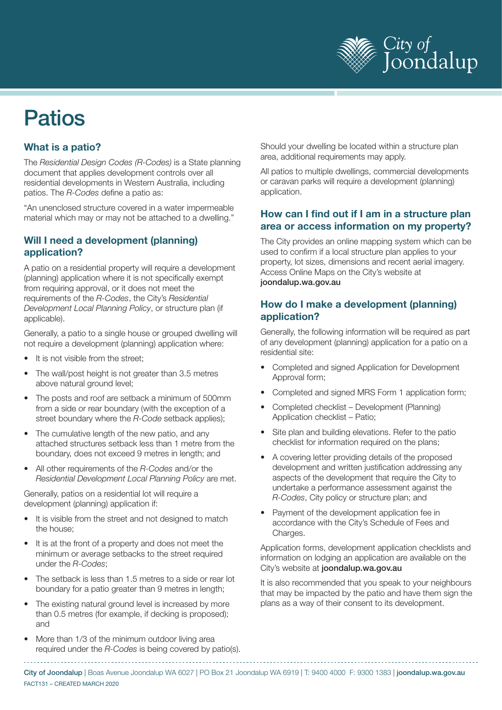

# Patios

# **What is a patio?**

The *Residential Design Codes (R-Codes)* is a State planning document that applies development controls over all residential developments in Western Australia, including patios. The *R-Codes* define a patio as:

"An unenclosed structure covered in a water impermeable material which may or may not be attached to a dwelling."

#### **Will I need a development (planning) application?**

A patio on a residential property will require a development (planning) application where it is not specifically exempt from requiring approval, or it does not meet the requirements of the *R-Codes*, the City's *Residential Development Local Planning Policy*, or structure plan (if applicable).

Generally, a patio to a single house or grouped dwelling will not require a development (planning) application where:

- It is not visible from the street;
- The wall/post height is not greater than 3.5 metres above natural ground level;
- The posts and roof are setback a minimum of 500mm from a side or rear boundary (with the exception of a street boundary where the *R-Code* setback applies);
- The cumulative length of the new patio, and any attached structures setback less than 1 metre from the boundary, does not exceed 9 metres in length; and
- All other requirements of the *R-Codes* and/or the *Residential Development Local Planning Policy* are met.

Generally, patios on a residential lot will require a development (planning) application if:

- It is visible from the street and not designed to match the house;
- It is at the front of a property and does not meet the minimum or average setbacks to the street required under the *R-Codes*;
- The setback is less than 1.5 metres to a side or rear lot boundary for a patio greater than 9 metres in length;
- The existing natural ground level is increased by more than 0.5 metres (for example, if decking is proposed); and
- More than 1/3 of the minimum outdoor living area required under the *R-Codes* is being covered by patio(s).

Should your dwelling be located within a structure plan area, additional requirements may apply.

All patios to multiple dwellings, commercial developments or caravan parks will require a development (planning) application.

#### **How can I find out if I am in a structure plan area or access information on my property?**

The City provides an online mapping system which can be used to confirm if a local structure plan applies to your property, lot sizes, dimensions and recent aerial imagery. Access Online Maps on the City's website at joondalup.wa.gov.au

#### **How do I make a development (planning) application?**

Generally, the following information will be required as part of any development (planning) application for a patio on a residential site:

- Completed and signed Application for Development Approval form;
- Completed and signed MRS Form 1 application form;
- Completed checklist Development (Planning) Application checklist – Patio;
- Site plan and building elevations. Refer to the patio checklist for information required on the plans;
- A covering letter providing details of the proposed development and written justification addressing any aspects of the development that require the City to undertake a performance assessment against the *R-Codes*, City policy or structure plan; and
- Payment of the development application fee in accordance with the City's Schedule of Fees and Charges.

Application forms, development application checklists and information on lodging an application are available on the City's website at joondalup.wa.gov.au

It is also recommended that you speak to your neighbours that may be impacted by the patio and have them sign the plans as a way of their consent to its development.

FACT131 – CREATED MARCH 2020 City of Joondalup | Boas Avenue Joondalup WA 6027 | PO Box 21 Joondalup WA 6919 | T: 9400 4000 F: 9300 1383 | joondalup.wa.gov.au